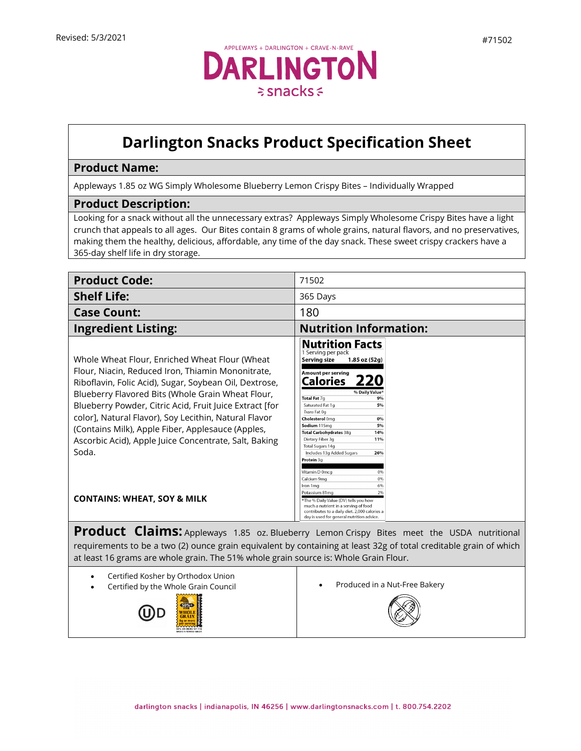

## **Darlington Snacks Product Specification Sheet**

## **Product Name:**

Appleways 1.85 oz WG Simply Wholesome Blueberry Lemon Crispy Bites – Individually Wrapped

## **Product Description:**

Looking for a snack without all the unnecessary extras? Appleways Simply Wholesome Crispy Bites have a light crunch that appeals to all ages. Our Bites contain 8 grams of whole grains, natural flavors, and no preservatives, making them the healthy, delicious, affordable, any time of the day snack. These sweet crispy crackers have a 365-day shelf life in dry storage.

| <b>Product Code:</b>                                                                                                                                                                                                                                                                                                                                                                                                                                          | 71502                                                                                                                                                                                                                                                                                                                                                                                                                                                                                                    |
|---------------------------------------------------------------------------------------------------------------------------------------------------------------------------------------------------------------------------------------------------------------------------------------------------------------------------------------------------------------------------------------------------------------------------------------------------------------|----------------------------------------------------------------------------------------------------------------------------------------------------------------------------------------------------------------------------------------------------------------------------------------------------------------------------------------------------------------------------------------------------------------------------------------------------------------------------------------------------------|
| <b>Shelf Life:</b>                                                                                                                                                                                                                                                                                                                                                                                                                                            | 365 Days                                                                                                                                                                                                                                                                                                                                                                                                                                                                                                 |
| <b>Case Count:</b>                                                                                                                                                                                                                                                                                                                                                                                                                                            | 180                                                                                                                                                                                                                                                                                                                                                                                                                                                                                                      |
| <b>Ingredient Listing:</b>                                                                                                                                                                                                                                                                                                                                                                                                                                    | <b>Nutrition Information:</b>                                                                                                                                                                                                                                                                                                                                                                                                                                                                            |
| Whole Wheat Flour, Enriched Wheat Flour (Wheat<br>Flour, Niacin, Reduced Iron, Thiamin Mononitrate,<br>Riboflavin, Folic Acid), Sugar, Soybean Oil, Dextrose,<br>Blueberry Flavored Bits (Whole Grain Wheat Flour,<br>Blueberry Powder, Citric Acid, Fruit Juice Extract [for<br>color], Natural Flavor), Soy Lecithin, Natural Flavor<br>(Contains Milk), Apple Fiber, Applesauce (Apples,<br>Ascorbic Acid), Apple Juice Concentrate, Salt, Baking<br>Soda. | <b>Nutrition Facts</b><br>1 Serving per pack<br><b>Serving size</b><br>$1.85$ oz $(52q)$<br>Amount per serving<br><b>Calories</b><br>% Daily Value <sup>+</sup><br>Total Fat 7q<br>9%<br>Saturated Fat 1q<br>5%<br>Trans Fat 0g<br>Cholesterol 0mg<br>0%<br>Sodium 115mg<br>5%<br>Total Carbohydrates 38g<br>14%<br>Dietary Fiber 3q<br>11%<br>Total Sugars 14g<br>Includes 13g Added Sugars<br>26%<br>Protein 3g<br>Vitamin D 0mcg<br>0%<br>Calcium 9mg<br>0%<br>6%<br>Iron 1mg<br>2%<br>Potassium 81mg |
| <b>CONTAINS: WHEAT, SOY &amp; MILK</b>                                                                                                                                                                                                                                                                                                                                                                                                                        | *The % Daily Value (DV) tells you how<br>much a nutrient in a serving of food<br>contributes to a daily diet. 2,000 calories a<br>day is used for general nutrition advice.                                                                                                                                                                                                                                                                                                                              |
| <b>Product Claims:</b> Appleways 1.85 oz. Blueberry Lemon Crispy Bites meet the USDA nutritional<br>requirements to be a two (2) ounce grain equivalent by containing at least 32g of total creditable grain of which<br>at least 16 grams are whole grain. The 51% whole grain source is: Whole Grain Flour.                                                                                                                                                 |                                                                                                                                                                                                                                                                                                                                                                                                                                                                                                          |
| Certified Kosher by Orthodox Union<br>$\bullet$<br>Certified by the Whole Grain Council                                                                                                                                                                                                                                                                                                                                                                       | Produced in a Nut-Free Bakery                                                                                                                                                                                                                                                                                                                                                                                                                                                                            |